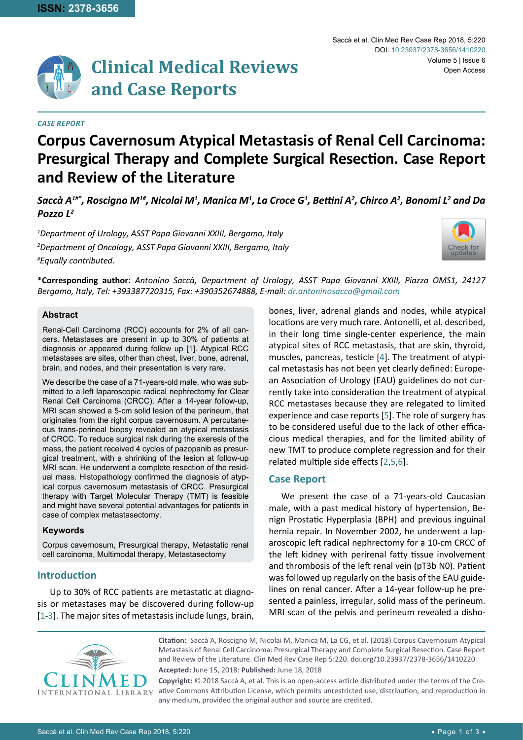

# **Clinical Medical Reviews and Case Reports**

#### *Case Report*

# **Corpus Cavernosum Atypical Metastasis of Renal Cell Carcinoma: Presurgical Therapy and Complete Surgical Resection. Case Report and Review of the Literature**

 $Saccà \, A^{1\#^*}$ , Roscigno M $^{1\#}$ , Nicolai M $^1$ , Manica M $^1$ , La Croce G $^1$ , Bettini A $^2$ , Chirco A $^2$ , Bonomi L $^2$  and Da *Pozzo L2*

*1 Department of Urology, ASST Papa Giovanni XXIII, Bergamo, Italy 2 Department of Oncology, ASST Papa Giovanni XXIII, Bergamo, Italy # Equally contributed.*



**\*Corresponding author:** *Antonino Saccà, Department of Urology, ASST Papa Giovanni XXIII, Piazza OMS1, 24127 Bergamo, Italy, Tel: +393387720315, Fax: +390352674888, E-mail: dr.antoninosacca@gmail.com*

#### **Abstract**

Renal-Cell Carcinoma (RCC) accounts for 2% of all cancers. Metastases are present in up to 30% of patients at diagnosis or appeared during follow up [[1\]](#page-2-0). Atypical RCC metastases are sites, other than chest, liver, bone, adrenal, brain, and nodes, and their presentation is very rare.

We describe the case of a 71-years-old male, who was submitted to a left laparoscopic radical nephrectomy for Clear Renal Cell Carcinoma (CRCC). After a 14-year follow-up, MRI scan showed a 5-cm solid lesion of the perineum, that originates from the right corpus cavernosum. A percutaneous trans-perineal biopsy revealed an atypical metastasis of CRCC. To reduce surgical risk during the exeresis of the mass, the patient received 4 cycles of pazopanib as presurgical treatment, with a shrinking of the lesion at follow-up MRI scan. He underwent a complete resection of the residual mass. Histopathology confirmed the diagnosis of atypical corpus cavernosum metastasis of CRCC. Presurgical therapy with Target Molecular Therapy (TMT) is feasible and might have several potential advantages for patients in case of complex metastasectomy.

#### **Keywords**

Corpus cavernosum, Presurgical therapy, Metastatic renal cell carcinoma, Multimodal therapy, Metastasectomy

# **Introduction**

Up to 30% of RCC patients are metastatic at diagnosis or metastases may be discovered during follow-up [[1](#page-2-0)-[3](#page-2-5)]. The major sites of metastasis include lungs, brain, bones, liver, adrenal glands and nodes, while atypical locations are very much rare. Antonelli, et al. described, in their long time single-center experience, the main atypical sites of RCC metastasis, that are skin, thyroid, muscles, pancreas, testicle [[4\]](#page-2-1). The treatment of atypical metastasis has not been yet clearly defined: European Association of Urology (EAU) guidelines do not currently take into consideration the treatment of atypical RCC metastases because they are relegated to limited experience and case reports [[5\]](#page-2-2). The role of surgery has to be considered useful due to the lack of other efficacious medical therapies, and for the limited ability of new TMT to produce complete regression and for their related multiple side effects [[2](#page-2-3),[5](#page-2-2)[,6\]](#page-2-4).

## **Case Report**

We present the case of a 71-years-old Caucasian male, with a past medical history of hypertension, Benign Prostatic Hyperplasia (BPH) and previous inguinal hernia repair. In November 2002, he underwent a laparoscopic left radical nephrectomy for a 10-cm CRCC of the left kidney with perirenal fatty tissue involvement and thrombosis of the left renal vein (pT3b N0). Patient was followed up regularly on the basis of the EAU guidelines on renal cancer. After a 14-year follow-up he presented a painless, irregular, solid mass of the perineum. MRI scan of the pelvis and perineum revealed a disho-



**Citation:** Saccà A, Roscigno M, Nicolai M, Manica M, La CG, et al. (2018) Corpus Cavernosum Atypical Metastasis of Renal Cell Carcinoma: Presurgical Therapy and Complete Surgical Resection. Case Report and Review of the Literature. Clin Med Rev Case Rep 5:220. [doi.org/10.23937/2378-3656/1410220](https://doi.org/10.23937/2378-3656/1410220)

**Accepted:** June 15, 2018: **Published:** June 18, 2018

**Copyright:** © 2018 Saccà A, et al. This is an open-access article distributed under the terms of the Creative Commons Attribution License, which permits unrestricted use, distribution, and reproduction in any medium, provided the original author and source are credited.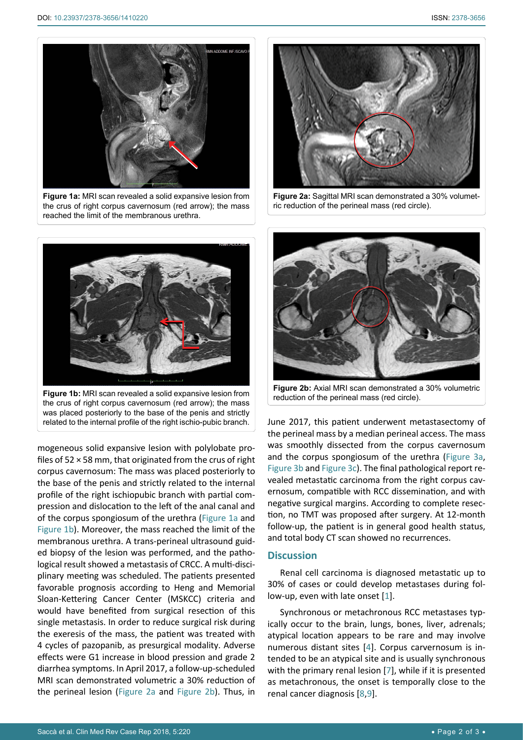<span id="page-1-0"></span>

**Figure 1a:** MRI scan revealed a solid expansive lesion from the crus of right corpus cavernosum (red arrow); the mass reached the limit of the membranous urethra.

<span id="page-1-2"></span>

**Figure 2a:** Sagittal MRI scan demonstrated a 30% volumetric reduction of the perineal mass (red circle).

<span id="page-1-1"></span>

was placed posteriorly to the base of the penis and strictly related to the internal profile of the right ischio-pubic branch.

mogeneous solid expansive lesion with polylobate profiles of 52 × 58 mm, that originated from the crus of right corpus cavernosum: The mass was placed posteriorly to the base of the penis and strictly related to the internal profile of the right ischiopubic branch with partial compression and dislocation to the left of the anal canal and of the corpus spongiosum of the urethra ([Figure 1a](#page-1-0) and [Figure 1b](#page-1-1)). Moreover, the mass reached the limit of the membranous urethra. A trans-perineal ultrasound guided biopsy of the lesion was performed, and the pathological result showed a metastasis of CRCC. A multi-disciplinary meeting was scheduled. The patients presented favorable prognosis according to Heng and Memorial Sloan-Kettering Cancer Center (MSKCC) criteria and would have benefited from surgical resection of this single metastasis. In order to reduce surgical risk during the exeresis of the mass, the patient was treated with 4 cycles of pazopanib, as presurgical modality. Adverse effects were G1 increase in blood pression and grade 2 diarrhea symptoms. In April 2017, a follow-up-scheduled MRI scan demonstrated volumetric a 30% reduction of the perineal lesion ([Figure 2a](#page-1-2) and [Figure 2b](#page-1-3)). Thus, in

<span id="page-1-3"></span>

**Figure 2b:** Axial MRI scan demonstrated a 30% volumetric reduction of the perineal mass (red circle).

June 2017, this patient underwent metastasectomy of the perineal mass by a median perineal access. The mass was smoothly dissected from the corpus cavernosum and the corpus spongiosum of the urethra ([Figure 3a,](#page-2-6) [Figure 3b](#page-2-6) and [Figure 3c](#page-2-6)). The final pathological report revealed metastatic carcinoma from the right corpus cavernosum, compatible with RCC dissemination, and with negative surgical margins. According to complete resection, no TMT was proposed after surgery. At 12-month follow-up, the patient is in general good health status, and total body CT scan showed no recurrences.

## **Discussion**

Renal cell carcinoma is diagnosed metastatic up to 30% of cases or could develop metastases during follow-up, even with late onset [[1\]](#page-2-0).

Synchronous or metachronous RCC metastases typically occur to the brain, lungs, bones, liver, adrenals; atypical location appears to be rare and may involve numerous distant sites [[4](#page-2-1)]. Corpus carvernosum is intended to be an atypical site and is usually synchronous with the primary renal lesion [[7](#page-2-7)], while if it is presented as metachronous, the onset is temporally close to the renal cancer diagnosis [[8](#page-2-8),[9](#page-2-9)].